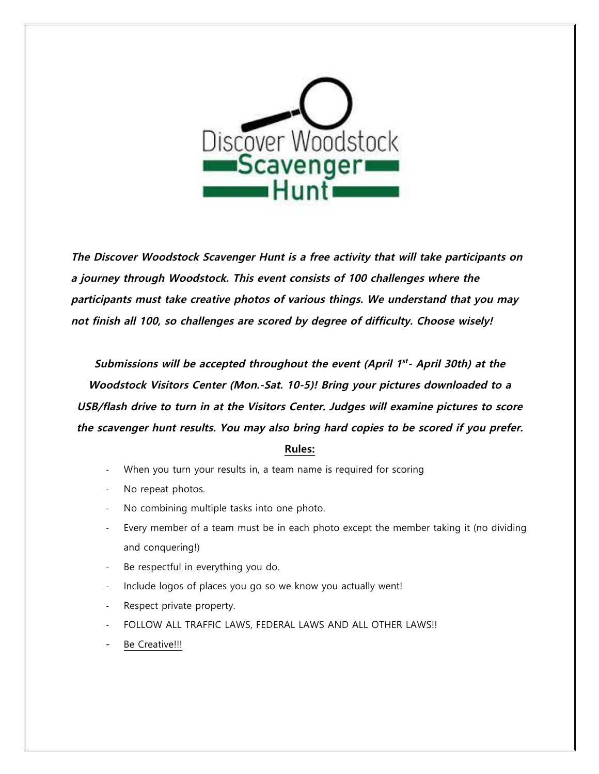

**The Discover Woodstock Scavenger Hunt is a free activity that will take participants on a journey through Woodstock. This event consists of 100 challenges where the participants must take creative photos of various things. We understand that you may not finish all 100, so challenges are scored by degree of difficulty. Choose wisely!**

**Submissions will be accepted throughout the event (April 1st- April 30th) at the Woodstock Visitors Center (Mon.-Sat. 10-5)! Bring your pictures downloaded to a USB/flash drive to turn in at the Visitors Center. Judges will examine pictures to score the scavenger hunt results. You may also bring hard copies to be scored if you prefer.** 

#### **Rules:**

- When you turn your results in, a team name is required for scoring
- No repeat photos.
- No combining multiple tasks into one photo.
- Every member of a team must be in each photo except the member taking it (no dividing and conquering!)
- Be respectful in everything you do.
- Include logos of places you go so we know you actually went!
- Respect private property.
- FOLLOW ALL TRAFFIC LAWS, FEDERAL LAWS AND ALL OTHER LAWS!!
- Be Creative!!!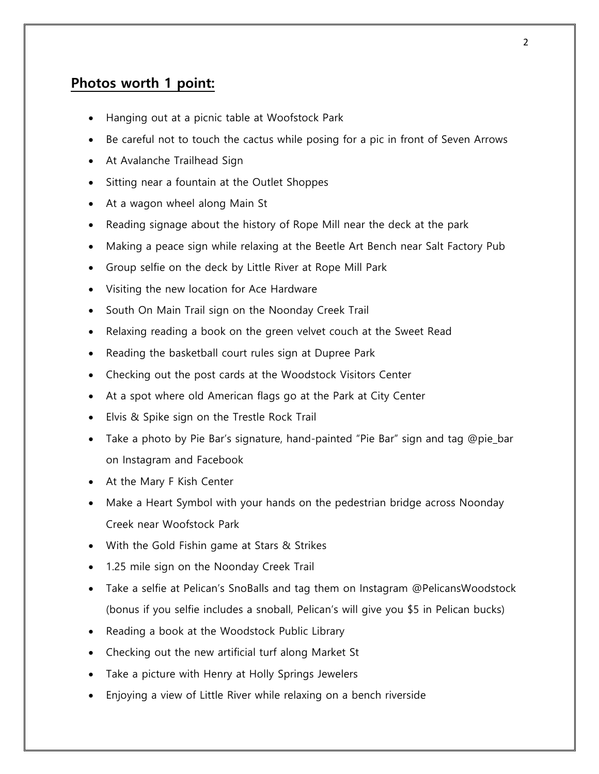# **Photos worth 1 point:**

- Hanging out at a picnic table at Woofstock Park
- Be careful not to touch the cactus while posing for a pic in front of Seven Arrows
- At Avalanche Trailhead Sign
- Sitting near a fountain at the Outlet Shoppes
- At a wagon wheel along Main St
- Reading signage about the history of Rope Mill near the deck at the park
- Making a peace sign while relaxing at the Beetle Art Bench near Salt Factory Pub
- Group selfie on the deck by Little River at Rope Mill Park
- Visiting the new location for Ace Hardware
- South On Main Trail sign on the Noonday Creek Trail
- Relaxing reading a book on the green velvet couch at the Sweet Read
- Reading the basketball court rules sign at Dupree Park
- Checking out the post cards at the Woodstock Visitors Center
- At a spot where old American flags go at the Park at City Center
- Elvis & Spike sign on the Trestle Rock Trail
- Take a photo by Pie Bar's signature, hand-painted "Pie Bar" sign and tag @pie\_bar on Instagram and Facebook
- At the Mary F Kish Center
- Make a Heart Symbol with your hands on the pedestrian bridge across Noonday Creek near Woofstock Park
- With the Gold Fishin game at Stars & Strikes
- 1.25 mile sign on the Noonday Creek Trail
- Take a selfie at Pelican's SnoBalls and tag them on Instagram @PelicansWoodstock (bonus if you selfie includes a snoball, Pelican's will give you \$5 in Pelican bucks)
- Reading a book at the Woodstock Public Library
- Checking out the new artificial turf along Market St
- Take a picture with Henry at Holly Springs Jewelers
- Enjoying a view of Little River while relaxing on a bench riverside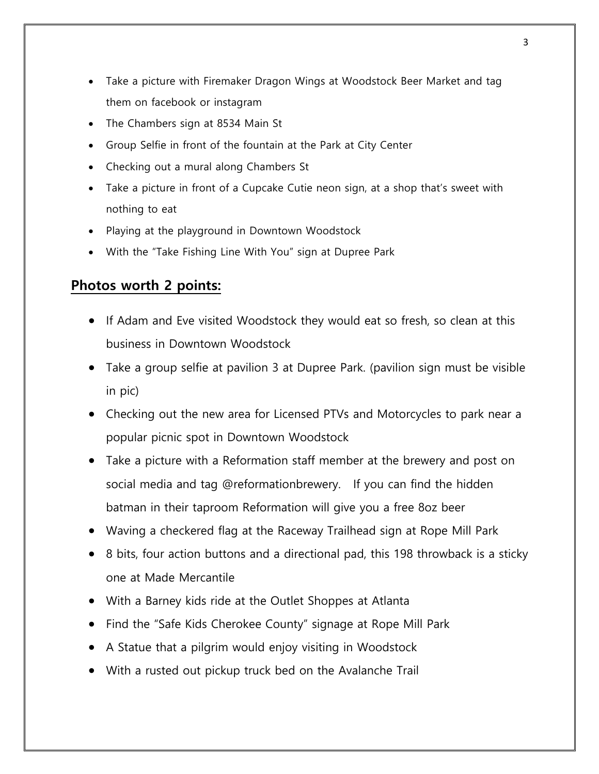- Take a picture with Firemaker Dragon Wings at Woodstock Beer Market and tag them on facebook or instagram
- The Chambers sign at 8534 Main St
- Group Selfie in front of the fountain at the Park at City Center
- Checking out a mural along Chambers St
- Take a picture in front of a Cupcake Cutie neon sign, at a shop that's sweet with nothing to eat
- Playing at the playground in Downtown Woodstock
- With the "Take Fishing Line With You" sign at Dupree Park

## **Photos worth 2 points:**

- If Adam and Eve visited Woodstock they would eat so fresh, so clean at this business in Downtown Woodstock
- Take a group selfie at pavilion 3 at Dupree Park. (pavilion sign must be visible in pic)
- Checking out the new area for Licensed PTVs and Motorcycles to park near a popular picnic spot in Downtown Woodstock
- Take a picture with a Reformation staff member at the brewery and post on social media and tag @reformationbrewery. If you can find the hidden batman in their taproom Reformation will give you a free 8oz beer
- Waving a checkered flag at the Raceway Trailhead sign at Rope Mill Park
- 8 bits, four action buttons and a directional pad, this 198 throwback is a sticky one at Made Mercantile
- With a Barney kids ride at the Outlet Shoppes at Atlanta
- Find the "Safe Kids Cherokee County" signage at Rope Mill Park
- A Statue that a pilgrim would enjoy visiting in Woodstock
- With a rusted out pickup truck bed on the Avalanche Trail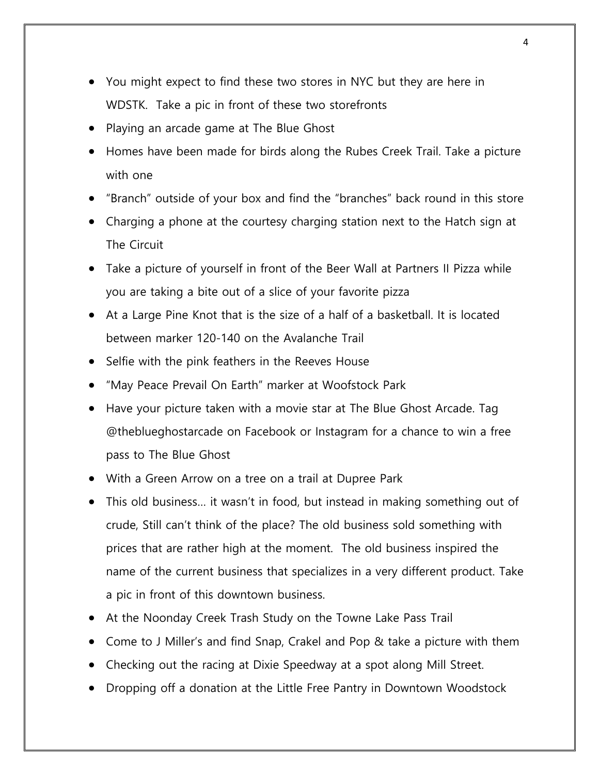- You might expect to find these two stores in NYC but they are here in WDSTK. Take a pic in front of these two storefronts
- Playing an arcade game at The Blue Ghost
- Homes have been made for birds along the Rubes Creek Trail. Take a picture with one
- "Branch" outside of your box and find the "branches" back round in this store
- Charging a phone at the courtesy charging station next to the Hatch sign at The Circuit
- Take a picture of yourself in front of the Beer Wall at Partners II Pizza while you are taking a bite out of a slice of your favorite pizza
- At a Large Pine Knot that is the size of a half of a basketball. It is located between marker 120-140 on the Avalanche Trail
- Selfie with the pink feathers in the Reeves House
- "May Peace Prevail On Earth" marker at Woofstock Park
- Have your picture taken with a movie star at The Blue Ghost Arcade. Tag @theblueghostarcade on Facebook or Instagram for a chance to win a free pass to The Blue Ghost
- With a Green Arrow on a tree on a trail at Dupree Park
- This old business… it wasn't in food, but instead in making something out of crude, Still can't think of the place? The old business sold something with prices that are rather high at the moment. The old business inspired the name of the current business that specializes in a very different product. Take a pic in front of this downtown business.
- At the Noonday Creek Trash Study on the Towne Lake Pass Trail
- Come to J Miller's and find Snap, Crakel and Pop & take a picture with them
- Checking out the racing at Dixie Speedway at a spot along Mill Street.
- Dropping off a donation at the Little Free Pantry in Downtown Woodstock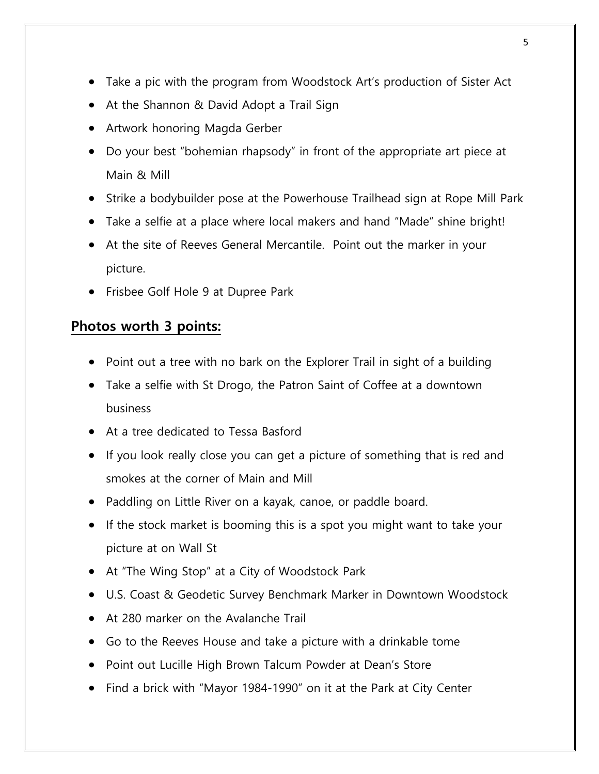- Take a pic with the program from Woodstock Art's production of Sister Act
- At the Shannon & David Adopt a Trail Sign
- Artwork honoring Magda Gerber
- Do your best "bohemian rhapsody" in front of the appropriate art piece at Main & Mill
- Strike a bodybuilder pose at the Powerhouse Trailhead sign at Rope Mill Park
- Take a selfie at a place where local makers and hand "Made" shine bright!
- At the site of Reeves General Mercantile. Point out the marker in your picture.
- Frisbee Golf Hole 9 at Dupree Park

### **Photos worth 3 points:**

- Point out a tree with no bark on the Explorer Trail in sight of a building
- Take a selfie with St Drogo, the Patron Saint of Coffee at a downtown business
- At a tree dedicated to Tessa Basford
- If you look really close you can get a picture of something that is red and smokes at the corner of Main and Mill
- Paddling on Little River on a kayak, canoe, or paddle board.
- If the stock market is booming this is a spot you might want to take your picture at on Wall St
- At "The Wing Stop" at a City of Woodstock Park
- U.S. Coast & Geodetic Survey Benchmark Marker in Downtown Woodstock
- At 280 marker on the Avalanche Trail
- Go to the Reeves House and take a picture with a drinkable tome
- Point out Lucille High Brown Talcum Powder at Dean's Store
- Find a brick with "Mayor 1984-1990" on it at the Park at City Center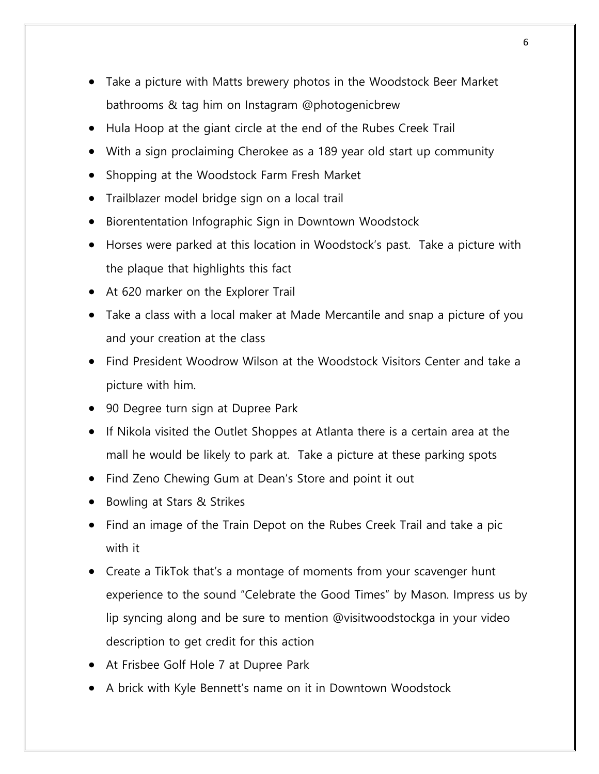- Take a picture with Matts brewery photos in the Woodstock Beer Market bathrooms & tag him on Instagram @photogenicbrew
- Hula Hoop at the giant circle at the end of the Rubes Creek Trail
- With a sign proclaiming Cherokee as a 189 year old start up community
- Shopping at the Woodstock Farm Fresh Market
- Trailblazer model bridge sign on a local trail
- Biorententation Infographic Sign in Downtown Woodstock
- Horses were parked at this location in Woodstock's past. Take a picture with the plaque that highlights this fact
- At 620 marker on the Explorer Trail
- Take a class with a local maker at Made Mercantile and snap a picture of you and your creation at the class
- Find President Woodrow Wilson at the Woodstock Visitors Center and take a picture with him.
- 90 Degree turn sign at Dupree Park
- If Nikola visited the Outlet Shoppes at Atlanta there is a certain area at the mall he would be likely to park at. Take a picture at these parking spots
- Find Zeno Chewing Gum at Dean's Store and point it out
- Bowling at Stars & Strikes
- Find an image of the Train Depot on the Rubes Creek Trail and take a pic with it
- Create a TikTok that's a montage of moments from your scavenger hunt experience to the sound "Celebrate the Good Times" by Mason. Impress us by lip syncing along and be sure to mention @visitwoodstockga in your video description to get credit for this action
- At Frisbee Golf Hole 7 at Dupree Park
- A brick with Kyle Bennett's name on it in Downtown Woodstock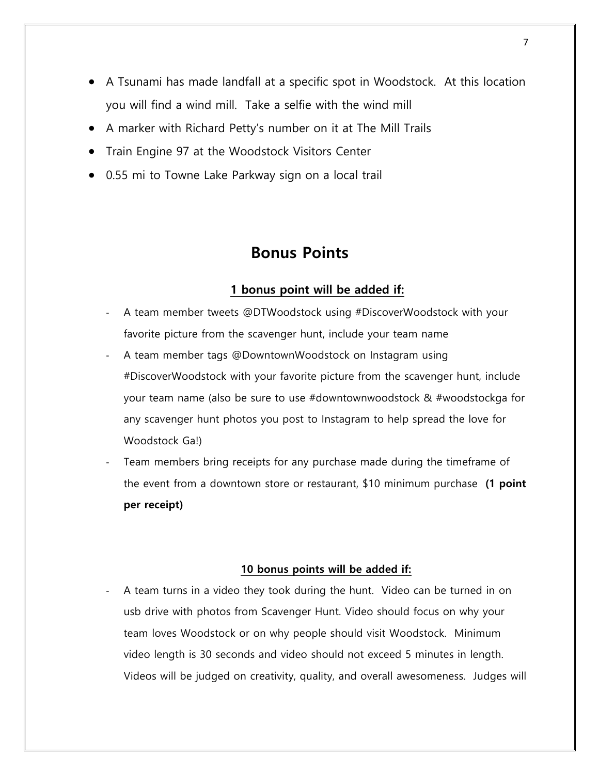- A Tsunami has made landfall at a specific spot in Woodstock. At this location you will find a wind mill. Take a selfie with the wind mill
- A marker with Richard Petty's number on it at The Mill Trails
- Train Engine 97 at the Woodstock Visitors Center
- 0.55 mi to Towne Lake Parkway sign on a local trail

## **Bonus Points**

### **1 bonus point will be added if:**

- A team member tweets @DTWoodstock using #DiscoverWoodstock with your favorite picture from the scavenger hunt, include your team name
- A team member tags @DowntownWoodstock on Instagram using #DiscoverWoodstock with your favorite picture from the scavenger hunt, include your team name (also be sure to use #downtownwoodstock & #woodstockga for any scavenger hunt photos you post to Instagram to help spread the love for Woodstock Ga!)
- Team members bring receipts for any purchase made during the timeframe of the event from a downtown store or restaurant, \$10 minimum purchase **(1 point per receipt)**

#### **10 bonus points will be added if:**

A team turns in a video they took during the hunt. Video can be turned in on usb drive with photos from Scavenger Hunt. Video should focus on why your team loves Woodstock or on why people should visit Woodstock. Minimum video length is 30 seconds and video should not exceed 5 minutes in length. Videos will be judged on creativity, quality, and overall awesomeness. Judges will